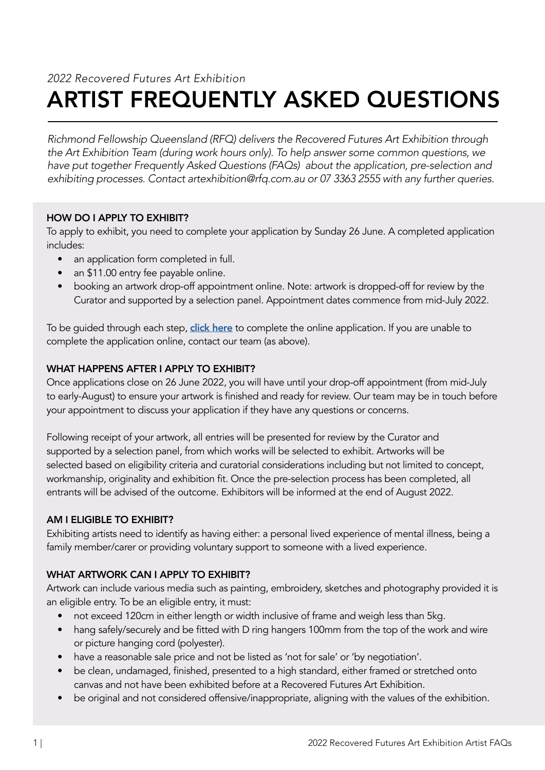# ARTIST FREQUENTLY ASKED QUESTIONS *2022 Recovered Futures Art Exhibition*

*Richmond Fellowship Queensland (RFQ) delivers the Recovered Futures Art Exhibition through the Art Exhibition Team (during work hours only). To help answer some common questions, we have put together Frequently Asked Questions (FAQs) about the application, pre-selection and exhibiting processes. Contact artexhibition@rfq.com.au or 07 3363 2555 with any further queries.*

## HOW DO I APPLY TO EXHIBIT?

To apply to exhibit, you need to complete your application by Sunday 26 June. A completed application includes:

- an application form completed in full.
- an \$11.00 entry fee payable online.
- booking an artwork drop-off appointment online. Note: artwork is dropped-off for review by the Curator and supported by a selection panel. Appointment dates commence from mid-July 2022.

To be quided through each step, [click here](https://form.jotform.com/221016952913048) to complete the online application. If you are unable to complete the application online, contact our team (as above).

## WHAT HAPPENS AFTER I APPLY TO EXHIBIT?

Once applications close on 26 June 2022, you will have until your drop-off appointment (from mid-July to early-August) to ensure your artwork is finished and ready for review. Our team may be in touch before your appointment to discuss your application if they have any questions or concerns.

Following receipt of your artwork, all entries will be presented for review by the Curator and supported by a selection panel, from which works will be selected to exhibit. Artworks will be selected based on eligibility criteria and curatorial considerations including but not limited to concept, workmanship, originality and exhibition fit. Once the pre-selection process has been completed, all entrants will be advised of the outcome. Exhibitors will be informed at the end of August 2022.

## AM I ELIGIBLE TO EXHIBIT?

Exhibiting artists need to identify as having either: a personal lived experience of mental illness, being a family member/carer or providing voluntary support to someone with a lived experience.

## WHAT ARTWORK CAN I APPLY TO EXHIBIT?

Artwork can include various media such as painting, embroidery, sketches and photography provided it is an eligible entry. To be an eligible entry, it must:

- not exceed 120cm in either length or width inclusive of frame and weigh less than 5kg.
- hang safely/securely and be fitted with D ring hangers 100mm from the top of the work and wire or picture hanging cord (polyester).
- have a reasonable sale price and not be listed as 'not for sale' or 'by negotiation'.
- be clean, undamaged, finished, presented to a high standard, either framed or stretched onto canvas and not have been exhibited before at a Recovered Futures Art Exhibition.
- be original and not considered offensive/inappropriate, aligning with the values of the exhibition.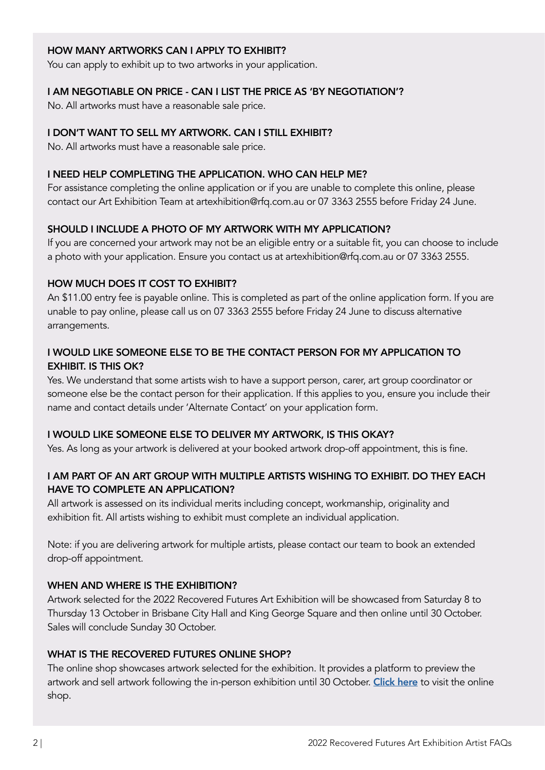## HOW MANY ARTWORKS CAN I APPLY TO EXHIBIT?

You can apply to exhibit up to two artworks in your application.

#### I AM NEGOTIABLE ON PRICE - CAN I LIST THE PRICE AS 'BY NEGOTIATION'?

No. All artworks must have a reasonable sale price.

#### I DON'T WANT TO SELL MY ARTWORK. CAN I STILL EXHIBIT?

No. All artworks must have a reasonable sale price.

#### I NEED HELP COMPLETING THE APPLICATION. WHO CAN HELP ME?

For assistance completing the online application or if you are unable to complete this online, please contact our Art Exhibition Team at artexhibition@rfq.com.au or 07 3363 2555 before Friday 24 June.

## SHOULD I INCLUDE A PHOTO OF MY ARTWORK WITH MY APPLICATION?

If you are concerned your artwork may not be an eligible entry or a suitable fit, you can choose to include a photo with your application. Ensure you contact us at artexhibition@rfq.com.au or 07 3363 2555.

#### HOW MUCH DOES IT COST TO EXHIBIT?

An \$11.00 entry fee is payable online. This is completed as part of the online application form. If you are unable to pay online, please call us on 07 3363 2555 before Friday 24 June to discuss alternative arrangements.

## I WOULD LIKE SOMEONE ELSE TO BE THE CONTACT PERSON FOR MY APPLICATION TO EXHIBIT. IS THIS OK?

Yes. We understand that some artists wish to have a support person, carer, art group coordinator or someone else be the contact person for their application. If this applies to you, ensure you include their name and contact details under 'Alternate Contact' on your application form.

#### I WOULD LIKE SOMEONE ELSE TO DELIVER MY ARTWORK, IS THIS OKAY?

Yes. As long as your artwork is delivered at your booked artwork drop-off appointment, this is fine.

## I AM PART OF AN ART GROUP WITH MULTIPLE ARTISTS WISHING TO EXHIBIT. DO THEY EACH HAVE TO COMPLETE AN APPLICATION?

All artwork is assessed on its individual merits including concept, workmanship, originality and exhibition fit. All artists wishing to exhibit must complete an individual application.

Note: if you are delivering artwork for multiple artists, please contact our team to book an extended drop-off appointment.

#### WHEN AND WHERE IS THE EXHIBITION?

Artwork selected for the 2022 Recovered Futures Art Exhibition will be showcased from Saturday 8 to Thursday 13 October in Brisbane City Hall and King George Square and then online until 30 October. Sales will conclude Sunday 30 October.

#### WHAT IS THE RECOVERED FUTURES ONLINE SHOP?

The online shop showcases artwork selected for the exhibition. It provides a platform to preview the artwork and sell artwork following the in-person exhibition until 30 October. [Click here](https://recoveredfuturesshop.rfq.com.au/) to visit the online shop.